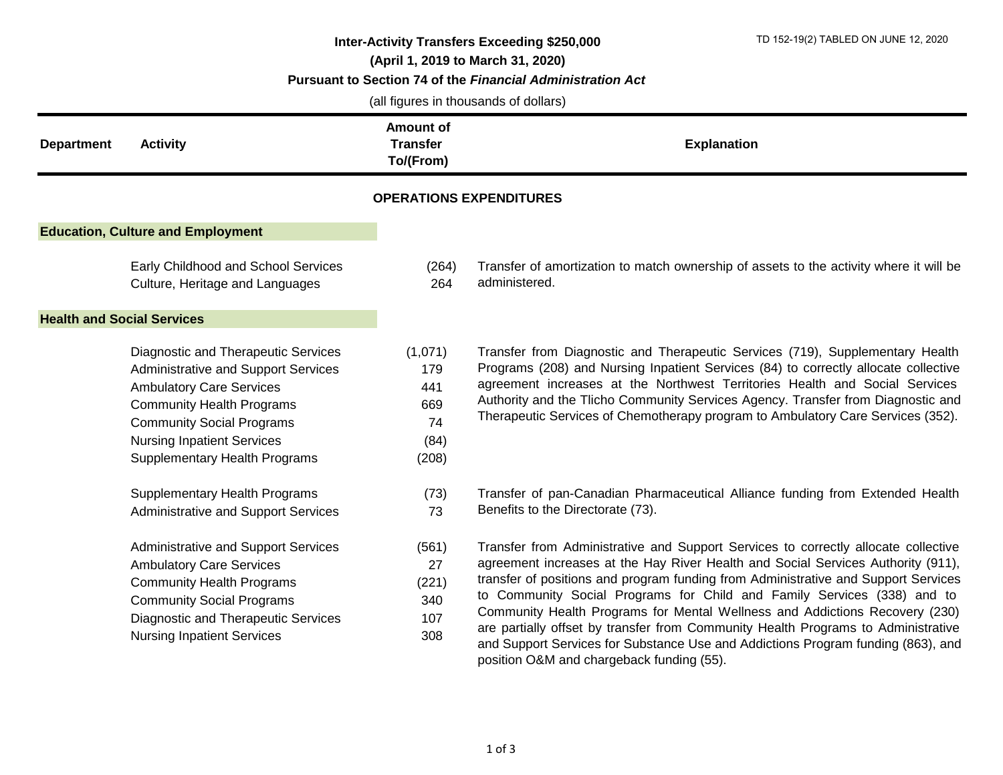| TD 152-19(2) TABLED ON JUNE 12, 2020<br>Inter-Activity Transfers Exceeding \$250,000<br>(April 1, 2019 to March 31, 2020)<br>Pursuant to Section 74 of the Financial Administration Act<br>(all figures in thousands of dollars) |                                                                                                                                                                                                                                                                           |                                                     |                                           |                                                                                                                                                                                                                                                                                                                                                                                                                                                                                                                                                                                                 |  |  |
|----------------------------------------------------------------------------------------------------------------------------------------------------------------------------------------------------------------------------------|---------------------------------------------------------------------------------------------------------------------------------------------------------------------------------------------------------------------------------------------------------------------------|-----------------------------------------------------|-------------------------------------------|-------------------------------------------------------------------------------------------------------------------------------------------------------------------------------------------------------------------------------------------------------------------------------------------------------------------------------------------------------------------------------------------------------------------------------------------------------------------------------------------------------------------------------------------------------------------------------------------------|--|--|
| <b>Department</b>                                                                                                                                                                                                                | <b>Activity</b>                                                                                                                                                                                                                                                           | <b>Amount of</b><br><b>Transfer</b><br>To/(From)    |                                           | <b>Explanation</b>                                                                                                                                                                                                                                                                                                                                                                                                                                                                                                                                                                              |  |  |
|                                                                                                                                                                                                                                  |                                                                                                                                                                                                                                                                           |                                                     | <b>OPERATIONS EXPENDITURES</b>            |                                                                                                                                                                                                                                                                                                                                                                                                                                                                                                                                                                                                 |  |  |
|                                                                                                                                                                                                                                  | <b>Education, Culture and Employment</b>                                                                                                                                                                                                                                  |                                                     |                                           |                                                                                                                                                                                                                                                                                                                                                                                                                                                                                                                                                                                                 |  |  |
|                                                                                                                                                                                                                                  | Early Childhood and School Services<br>Culture, Heritage and Languages                                                                                                                                                                                                    | (264)<br>264                                        | administered.                             | Transfer of amortization to match ownership of assets to the activity where it will be                                                                                                                                                                                                                                                                                                                                                                                                                                                                                                          |  |  |
|                                                                                                                                                                                                                                  | <b>Health and Social Services</b>                                                                                                                                                                                                                                         |                                                     |                                           |                                                                                                                                                                                                                                                                                                                                                                                                                                                                                                                                                                                                 |  |  |
|                                                                                                                                                                                                                                  | <b>Diagnostic and Therapeutic Services</b><br>Administrative and Support Services<br><b>Ambulatory Care Services</b><br><b>Community Health Programs</b><br><b>Community Social Programs</b><br><b>Nursing Inpatient Services</b><br><b>Supplementary Health Programs</b> | (1,071)<br>179<br>441<br>669<br>74<br>(84)<br>(208) |                                           | Transfer from Diagnostic and Therapeutic Services (719), Supplementary Health<br>Programs (208) and Nursing Inpatient Services (84) to correctly allocate collective<br>agreement increases at the Northwest Territories Health and Social Services<br>Authority and the Tlicho Community Services Agency. Transfer from Diagnostic and<br>Therapeutic Services of Chemotherapy program to Ambulatory Care Services (352).                                                                                                                                                                      |  |  |
|                                                                                                                                                                                                                                  | <b>Supplementary Health Programs</b><br>Administrative and Support Services                                                                                                                                                                                               | (73)<br>73                                          | Benefits to the Directorate (73).         | Transfer of pan-Canadian Pharmaceutical Alliance funding from Extended Health                                                                                                                                                                                                                                                                                                                                                                                                                                                                                                                   |  |  |
|                                                                                                                                                                                                                                  | Administrative and Support Services<br><b>Ambulatory Care Services</b><br><b>Community Health Programs</b><br><b>Community Social Programs</b><br>Diagnostic and Therapeutic Services<br><b>Nursing Inpatient Services</b>                                                | (561)<br>27<br>(221)<br>340<br>107<br>308           | position O&M and chargeback funding (55). | Transfer from Administrative and Support Services to correctly allocate collective<br>agreement increases at the Hay River Health and Social Services Authority (911),<br>transfer of positions and program funding from Administrative and Support Services<br>to Community Social Programs for Child and Family Services (338) and to<br>Community Health Programs for Mental Wellness and Addictions Recovery (230)<br>are partially offset by transfer from Community Health Programs to Administrative<br>and Support Services for Substance Use and Addictions Program funding (863), and |  |  |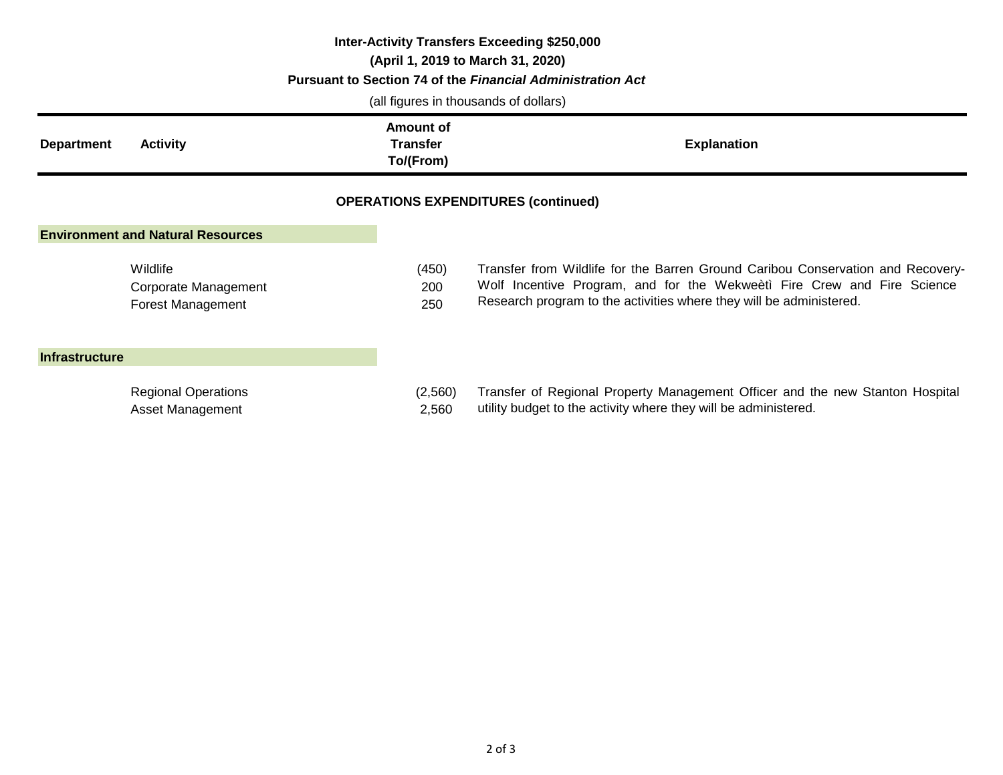| <b>Inter-Activity Transfers Exceeding \$250,000</b><br>(April 1, 2019 to March 31, 2020)<br>Pursuant to Section 74 of the Financial Administration Act<br>(all figures in thousands of dollars) |                                                       |  |                                           |                                                                                                                                                                                                                                   |  |  |  |  |  |
|-------------------------------------------------------------------------------------------------------------------------------------------------------------------------------------------------|-------------------------------------------------------|--|-------------------------------------------|-----------------------------------------------------------------------------------------------------------------------------------------------------------------------------------------------------------------------------------|--|--|--|--|--|
| <b>Department</b>                                                                                                                                                                               | <b>Activity</b>                                       |  | Amount of<br><b>Transfer</b><br>To/(From) | <b>Explanation</b>                                                                                                                                                                                                                |  |  |  |  |  |
| <b>OPERATIONS EXPENDITURES (continued)</b>                                                                                                                                                      |                                                       |  |                                           |                                                                                                                                                                                                                                   |  |  |  |  |  |
|                                                                                                                                                                                                 | <b>Environment and Natural Resources</b>              |  |                                           |                                                                                                                                                                                                                                   |  |  |  |  |  |
|                                                                                                                                                                                                 | Wildlife<br>Corporate Management<br>Forest Management |  | (450)<br>200<br>250                       | Transfer from Wildlife for the Barren Ground Caribou Conservation and Recovery-<br>Wolf Incentive Program, and for the Wekweeti Fire Crew and Fire Science<br>Research program to the activities where they will be administered. |  |  |  |  |  |
| <b>Infrastructure</b>                                                                                                                                                                           |                                                       |  |                                           |                                                                                                                                                                                                                                   |  |  |  |  |  |
|                                                                                                                                                                                                 | <b>Regional Operations</b>                            |  | (2,560)                                   | Transfer of Regional Property Management Officer and the new Stanton Hospital                                                                                                                                                     |  |  |  |  |  |

Asset Management 2,560

utility budget to the activity where they will be administered.